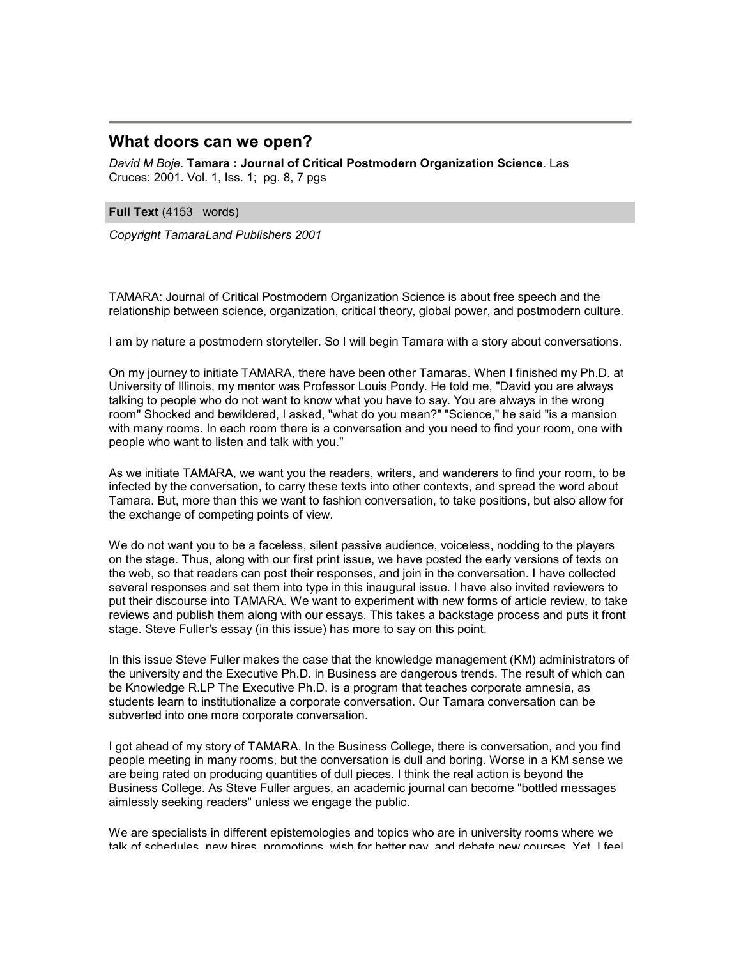## **What doors can we open?**

*David M Boje*. **Tamara : Journal of Critical Postmodern Organization Science**. Las Cruces: 2001. Vol. 1, Iss. 1; pg. 8, 7 pgs

## **Full Text** (4153 words)

*Copyright TamaraLand Publishers 2001*

TAMARA: Journal of Critical Postmodern Organization Science is about free speech and the relationship between science, organization, critical theory, global power, and postmodern culture.

I am by nature a postmodern storyteller. So I will begin Tamara with a story about conversations.

On my journey to initiate TAMARA, there have been other Tamaras. When I finished my Ph.D. at University of Illinois, my mentor was Professor Louis Pondy. He told me, "David you are always talking to people who do not want to know what you have to say. You are always in the wrong room" Shocked and bewildered, I asked, "what do you mean?" "Science," he said "is a mansion with many rooms. In each room there is a conversation and you need to find your room, one with people who want to listen and talk with you."

As we initiate TAMARA, we want you the readers, writers, and wanderers to find your room, to be infected by the conversation, to carry these texts into other contexts, and spread the word about Tamara. But, more than this we want to fashion conversation, to take positions, but also allow for the exchange of competing points of view.

We do not want you to be a faceless, silent passive audience, voiceless, nodding to the players on the stage. Thus, along with our first print issue, we have posted the early versions of texts on the web, so that readers can post their responses, and join in the conversation. I have collected several responses and set them into type in this inaugural issue. I have also invited reviewers to put their discourse into TAMARA. We want to experiment with new forms of article review, to take reviews and publish them along with our essays. This takes a backstage process and puts it front stage. Steve Fuller's essay (in this issue) has more to say on this point.

In this issue Steve Fuller makes the case that the knowledge management (KM) administrators of the university and the Executive Ph.D. in Business are dangerous trends. The result of which can be Knowledge R.LP The Executive Ph.D. is a program that teaches corporate amnesia, as students learn to institutionalize a corporate conversation. Our Tamara conversation can be subverted into one more corporate conversation.

I got ahead of my story of TAMARA. In the Business College, there is conversation, and you find people meeting in many rooms, but the conversation is dull and boring. Worse in a KM sense we are being rated on producing quantities of dull pieces. I think the real action is beyond the Business College. As Steve Fuller argues, an academic journal can become "bottled messages aimlessly seeking readers" unless we engage the public.

We are specialists in different epistemologies and topics who are in university rooms where we talk of schedules, new hires, promotions, wish for better pay, and debate new courses. Yet, I feel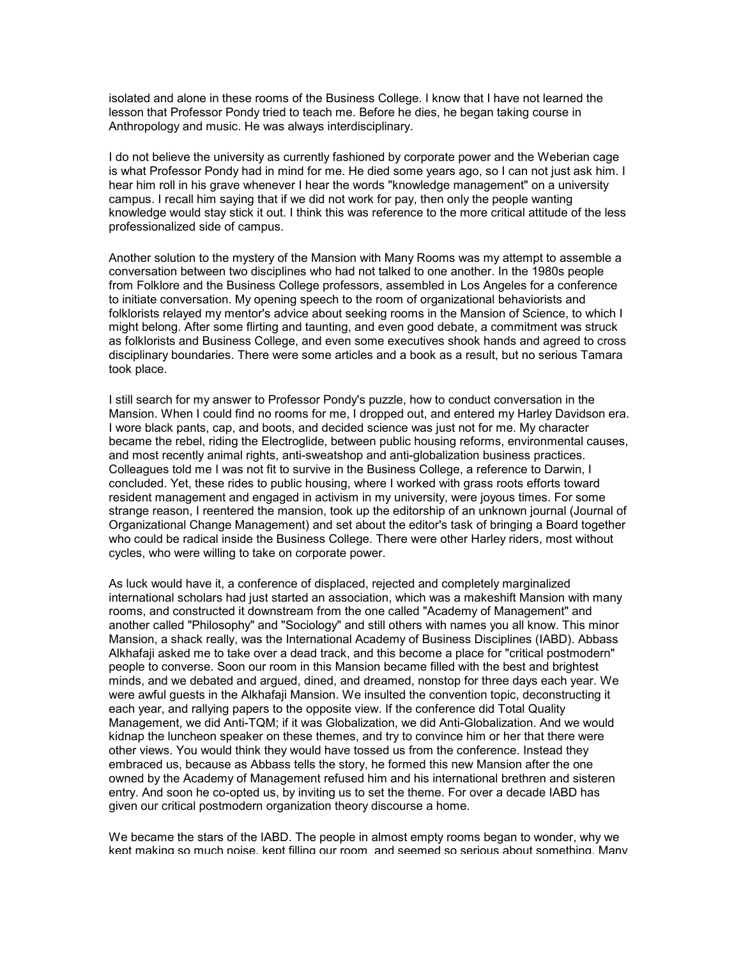isolated and alone in these rooms of the Business College. I know that I have not learned the lesson that Professor Pondy tried to teach me. Before he dies, he began taking course in Anthropology and music. He was always interdisciplinary.

I do not believe the university as currently fashioned by corporate power and the Weberian cage is what Professor Pondy had in mind for me. He died some years ago, so I can not just ask him. I hear him roll in his grave whenever I hear the words "knowledge management" on a university campus. I recall him saying that if we did not work for pay, then only the people wanting knowledge would stay stick it out. I think this was reference to the more critical attitude of the less professionalized side of campus.

Another solution to the mystery of the Mansion with Many Rooms was my attempt to assemble a conversation between two disciplines who had not talked to one another. In the 1980s people from Folklore and the Business College professors, assembled in Los Angeles for a conference to initiate conversation. My opening speech to the room of organizational behaviorists and folklorists relayed my mentor's advice about seeking rooms in the Mansion of Science, to which I might belong. After some flirting and taunting, and even good debate, a commitment was struck as folklorists and Business College, and even some executives shook hands and agreed to cross disciplinary boundaries. There were some articles and a book as a result, but no serious Tamara took place.

I still search for my answer to Professor Pondy's puzzle, how to conduct conversation in the Mansion. When I could find no rooms for me, I dropped out, and entered my Harley Davidson era. I wore black pants, cap, and boots, and decided science was just not for me. My character became the rebel, riding the Electroglide, between public housing reforms, environmental causes, and most recently animal rights, anti-sweatshop and anti-globalization business practices. Colleagues told me I was not fit to survive in the Business College, a reference to Darwin, I concluded. Yet, these rides to public housing, where I worked with grass roots efforts toward resident management and engaged in activism in my university, were joyous times. For some strange reason, I reentered the mansion, took up the editorship of an unknown journal (Journal of Organizational Change Management) and set about the editor's task of bringing a Board together who could be radical inside the Business College. There were other Harley riders, most without cycles, who were willing to take on corporate power.

As luck would have it, a conference of displaced, rejected and completely marginalized international scholars had just started an association, which was a makeshift Mansion with many rooms, and constructed it downstream from the one called "Academy of Management" and another called "Philosophy" and "Sociology" and still others with names you all know. This minor Mansion, a shack really, was the International Academy of Business Disciplines (IABD). Abbass Alkhafaji asked me to take over a dead track, and this become a place for "critical postmodern" people to converse. Soon our room in this Mansion became filled with the best and brightest minds, and we debated and argued, dined, and dreamed, nonstop for three days each year. We were awful guests in the Alkhafaji Mansion. We insulted the convention topic, deconstructing it each year, and rallying papers to the opposite view. If the conference did Total Quality Management, we did Anti-TQM; if it was Globalization, we did Anti-Globalization. And we would kidnap the luncheon speaker on these themes, and try to convince him or her that there were other views. You would think they would have tossed us from the conference. Instead they embraced us, because as Abbass tells the story, he formed this new Mansion after the one owned by the Academy of Management refused him and his international brethren and sisteren entry. And soon he co-opted us, by inviting us to set the theme. For over a decade IABD has given our critical postmodern organization theory discourse a home.

We became the stars of the IABD. The people in almost empty rooms began to wonder, why we kept making so much noise, kept filling our room and seemed so serious about something. Many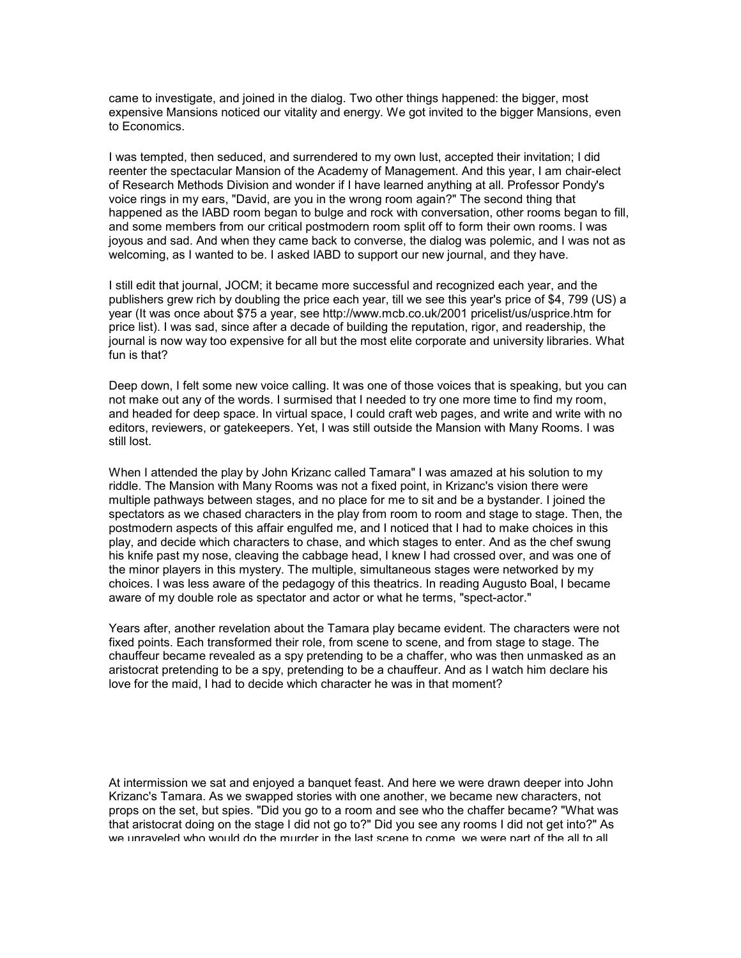came to investigate, and joined in the dialog. Two other things happened: the bigger, most expensive Mansions noticed our vitality and energy. We got invited to the bigger Mansions, even to Economics.

I was tempted, then seduced, and surrendered to my own lust, accepted their invitation; I did reenter the spectacular Mansion of the Academy of Management. And this year, I am chair-elect of Research Methods Division and wonder if I have learned anything at all. Professor Pondy's voice rings in my ears, "David, are you in the wrong room again?" The second thing that happened as the IABD room began to bulge and rock with conversation, other rooms began to fill, and some members from our critical postmodern room split off to form their own rooms. I was joyous and sad. And when they came back to converse, the dialog was polemic, and I was not as welcoming, as I wanted to be. I asked IABD to support our new journal, and they have.

I still edit that journal, JOCM; it became more successful and recognized each year, and the publishers grew rich by doubling the price each year, till we see this year's price of \$4, 799 (US) a year (It was once about \$75 a year, see http://www.mcb.co.uk/2001 pricelist/us/usprice.htm for price list). I was sad, since after a decade of building the reputation, rigor, and readership, the journal is now way too expensive for all but the most elite corporate and university libraries. What fun is that?

Deep down, I felt some new voice calling. It was one of those voices that is speaking, but you can not make out any of the words. I surmised that I needed to try one more time to find my room, and headed for deep space. In virtual space, I could craft web pages, and write and write with no editors, reviewers, or gatekeepers. Yet, I was still outside the Mansion with Many Rooms. I was still lost.

When I attended the play by John Krizanc called Tamara" I was amazed at his solution to my riddle. The Mansion with Many Rooms was not a fixed point, in Krizanc's vision there were multiple pathways between stages, and no place for me to sit and be a bystander. I joined the spectators as we chased characters in the play from room to room and stage to stage. Then, the postmodern aspects of this affair engulfed me, and I noticed that I had to make choices in this play, and decide which characters to chase, and which stages to enter. And as the chef swung his knife past my nose, cleaving the cabbage head, I knew I had crossed over, and was one of the minor players in this mystery. The multiple, simultaneous stages were networked by my choices. I was less aware of the pedagogy of this theatrics. In reading Augusto Boal, I became aware of my double role as spectator and actor or what he terms, "spect-actor."

Years after, another revelation about the Tamara play became evident. The characters were not fixed points. Each transformed their role, from scene to scene, and from stage to stage. The chauffeur became revealed as a spy pretending to be a chaffer, who was then unmasked as an aristocrat pretending to be a spy, pretending to be a chauffeur. And as I watch him declare his love for the maid, I had to decide which character he was in that moment?

At intermission we sat and enjoyed a banquet feast. And here we were drawn deeper into John Krizanc's Tamara. As we swapped stories with one another, we became new characters, not props on the set, but spies. "Did you go to a room and see who the chaffer became? "What was that aristocrat doing on the stage I did not go to?" Did you see any rooms I did not get into?" As we unraveled who would do the murder in the last scene to come, we were part of the all to all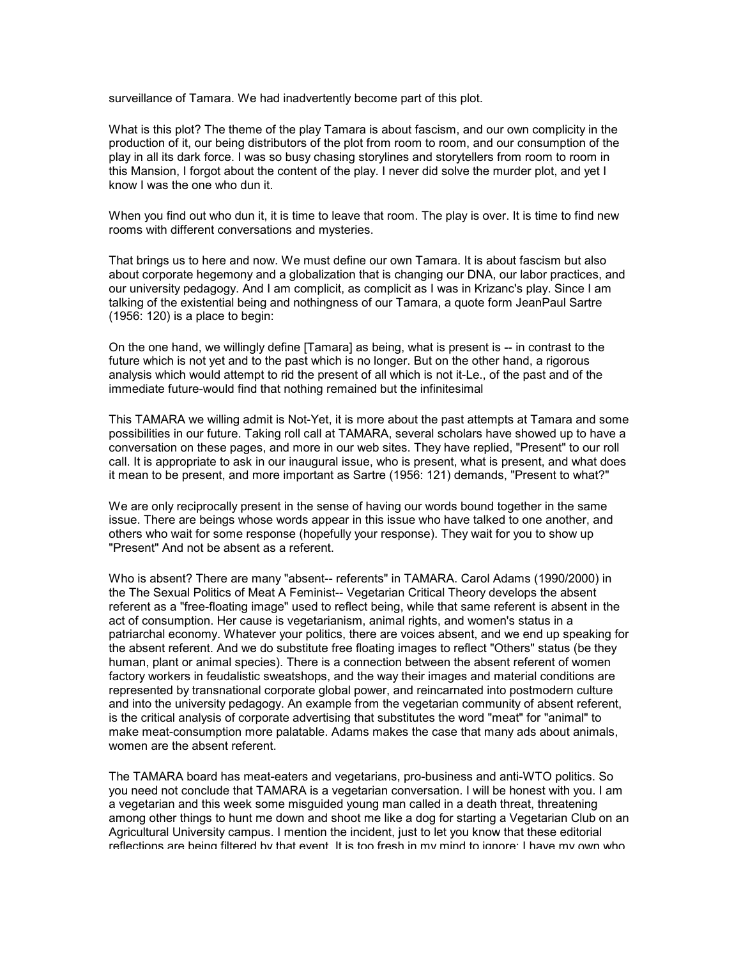surveillance of Tamara. We had inadvertently become part of this plot.

What is this plot? The theme of the play Tamara is about fascism, and our own complicity in the production of it, our being distributors of the plot from room to room, and our consumption of the play in all its dark force. I was so busy chasing storylines and storytellers from room to room in this Mansion, I forgot about the content of the play. I never did solve the murder plot, and yet I know I was the one who dun it.

When you find out who dun it, it is time to leave that room. The play is over. It is time to find new rooms with different conversations and mysteries.

That brings us to here and now. We must define our own Tamara. It is about fascism but also about corporate hegemony and a globalization that is changing our DNA, our labor practices, and our university pedagogy. And I am complicit, as complicit as I was in Krizanc's play. Since I am talking of the existential being and nothingness of our Tamara, a quote form JeanPaul Sartre (1956: 120) is a place to begin:

On the one hand, we willingly define [Tamara] as being, what is present is -- in contrast to the future which is not yet and to the past which is no longer. But on the other hand, a rigorous analysis which would attempt to rid the present of all which is not it-Le., of the past and of the immediate future-would find that nothing remained but the infinitesimal

This TAMARA we willing admit is Not-Yet, it is more about the past attempts at Tamara and some possibilities in our future. Taking roll call at TAMARA, several scholars have showed up to have a conversation on these pages, and more in our web sites. They have replied, "Present" to our roll call. It is appropriate to ask in our inaugural issue, who is present, what is present, and what does it mean to be present, and more important as Sartre (1956: 121) demands, "Present to what?"

We are only reciprocally present in the sense of having our words bound together in the same issue. There are beings whose words appear in this issue who have talked to one another, and others who wait for some response (hopefully your response). They wait for you to show up "Present" And not be absent as a referent.

Who is absent? There are many "absent-- referents" in TAMARA. Carol Adams (1990/2000) in the The Sexual Politics of Meat A Feminist-- Vegetarian Critical Theory develops the absent referent as a "free-floating image" used to reflect being, while that same referent is absent in the act of consumption. Her cause is vegetarianism, animal rights, and women's status in a patriarchal economy. Whatever your politics, there are voices absent, and we end up speaking for the absent referent. And we do substitute free floating images to reflect "Others" status (be they human, plant or animal species). There is a connection between the absent referent of women factory workers in feudalistic sweatshops, and the way their images and material conditions are represented by transnational corporate global power, and reincarnated into postmodern culture and into the university pedagogy. An example from the vegetarian community of absent referent, is the critical analysis of corporate advertising that substitutes the word "meat" for "animal" to make meat-consumption more palatable. Adams makes the case that many ads about animals, women are the absent referent.

The TAMARA board has meat-eaters and vegetarians, pro-business and anti-WTO politics. So you need not conclude that TAMARA is a vegetarian conversation. I will be honest with you. I am a vegetarian and this week some misguided young man called in a death threat, threatening among other things to hunt me down and shoot me like a dog for starting a Vegetarian Club on an Agricultural University campus. I mention the incident, just to let you know that these editorial reflections are being filtered by that event. It is too fresh in my mind to ignore; I have my own who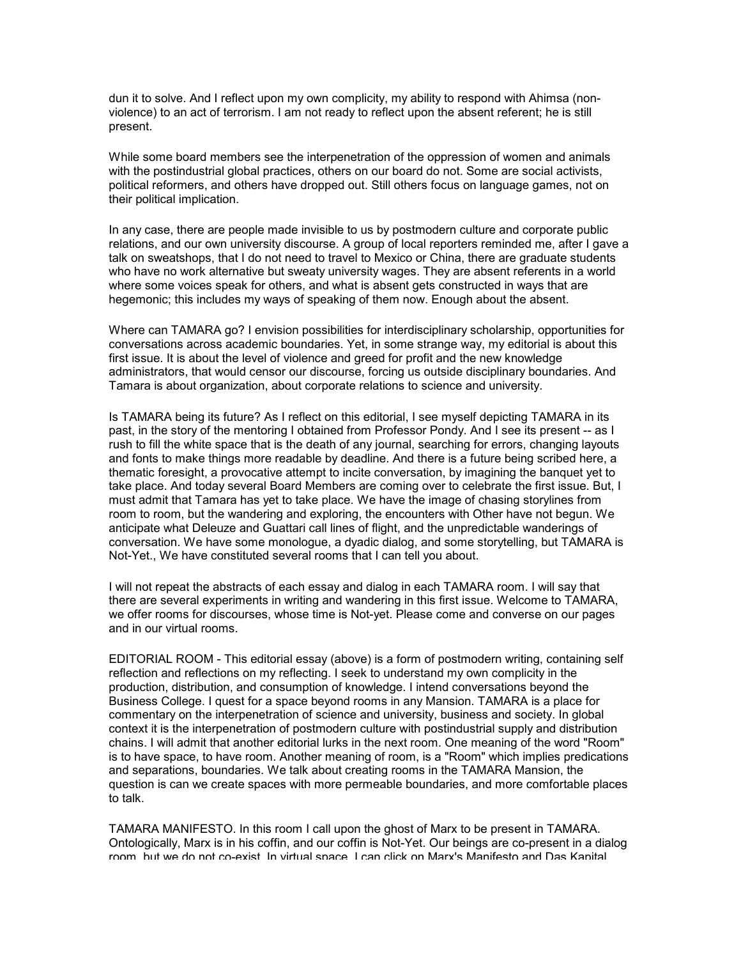dun it to solve. And I reflect upon my own complicity, my ability to respond with Ahimsa (nonviolence) to an act of terrorism. I am not ready to reflect upon the absent referent; he is still present.

While some board members see the interpenetration of the oppression of women and animals with the postindustrial global practices, others on our board do not. Some are social activists, political reformers, and others have dropped out. Still others focus on language games, not on their political implication.

In any case, there are people made invisible to us by postmodern culture and corporate public relations, and our own university discourse. A group of local reporters reminded me, after I gave a talk on sweatshops, that I do not need to travel to Mexico or China, there are graduate students who have no work alternative but sweaty university wages. They are absent referents in a world where some voices speak for others, and what is absent gets constructed in ways that are hegemonic; this includes my ways of speaking of them now. Enough about the absent.

Where can TAMARA go? I envision possibilities for interdisciplinary scholarship, opportunities for conversations across academic boundaries. Yet, in some strange way, my editorial is about this first issue. It is about the level of violence and greed for profit and the new knowledge administrators, that would censor our discourse, forcing us outside disciplinary boundaries. And Tamara is about organization, about corporate relations to science and university.

Is TAMARA being its future? As I reflect on this editorial, I see myself depicting TAMARA in its past, in the story of the mentoring I obtained from Professor Pondy. And I see its present -- as I rush to fill the white space that is the death of any journal, searching for errors, changing layouts and fonts to make things more readable by deadline. And there is a future being scribed here, a thematic foresight, a provocative attempt to incite conversation, by imagining the banquet yet to take place. And today several Board Members are coming over to celebrate the first issue. But, I must admit that Tamara has yet to take place. We have the image of chasing storylines from room to room, but the wandering and exploring, the encounters with Other have not begun. We anticipate what Deleuze and Guattari call lines of flight, and the unpredictable wanderings of conversation. We have some monologue, a dyadic dialog, and some storytelling, but TAMARA is Not-Yet., We have constituted several rooms that I can tell you about.

I will not repeat the abstracts of each essay and dialog in each TAMARA room. I will say that there are several experiments in writing and wandering in this first issue. Welcome to TAMARA, we offer rooms for discourses, whose time is Not-yet. Please come and converse on our pages and in our virtual rooms.

EDITORIAL ROOM - This editorial essay (above) is a form of postmodern writing, containing self reflection and reflections on my reflecting. I seek to understand my own complicity in the production, distribution, and consumption of knowledge. I intend conversations beyond the Business College. I quest for a space beyond rooms in any Mansion. TAMARA is a place for commentary on the interpenetration of science and university, business and society. In global context it is the interpenetration of postmodern culture with postindustrial supply and distribution chains. I will admit that another editorial lurks in the next room. One meaning of the word "Room" is to have space, to have room. Another meaning of room, is a "Room" which implies predications and separations, boundaries. We talk about creating rooms in the TAMARA Mansion, the question is can we create spaces with more permeable boundaries, and more comfortable places to talk.

TAMARA MANIFESTO. In this room I call upon the ghost of Marx to be present in TAMARA. Ontologically, Marx is in his coffin, and our coffin is Not-Yet. Our beings are co-present in a dialog room, but we do not co-exist. In virtual space, I can click on Marx's Manifesto and Das Kapital.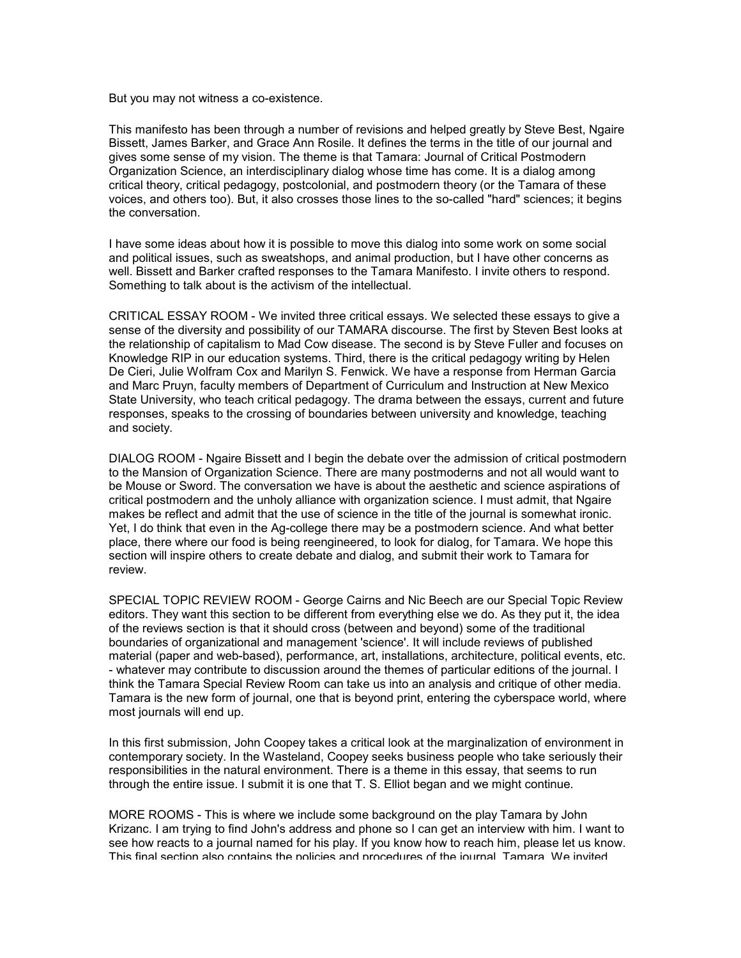But you may not witness a co-existence.

This manifesto has been through a number of revisions and helped greatly by Steve Best, Ngaire Bissett, James Barker, and Grace Ann Rosile. It defines the terms in the title of our journal and gives some sense of my vision. The theme is that Tamara: Journal of Critical Postmodern Organization Science, an interdisciplinary dialog whose time has come. It is a dialog among critical theory, critical pedagogy, postcolonial, and postmodern theory (or the Tamara of these voices, and others too). But, it also crosses those lines to the so-called "hard" sciences; it begins the conversation.

I have some ideas about how it is possible to move this dialog into some work on some social and political issues, such as sweatshops, and animal production, but I have other concerns as well. Bissett and Barker crafted responses to the Tamara Manifesto. I invite others to respond. Something to talk about is the activism of the intellectual.

CRITICAL ESSAY ROOM - We invited three critical essays. We selected these essays to give a sense of the diversity and possibility of our TAMARA discourse. The first by Steven Best looks at the relationship of capitalism to Mad Cow disease. The second is by Steve Fuller and focuses on Knowledge RIP in our education systems. Third, there is the critical pedagogy writing by Helen De Cieri, Julie Wolfram Cox and Marilyn S. Fenwick. We have a response from Herman Garcia and Marc Pruyn, faculty members of Department of Curriculum and Instruction at New Mexico State University, who teach critical pedagogy. The drama between the essays, current and future responses, speaks to the crossing of boundaries between university and knowledge, teaching and society.

DIALOG ROOM - Ngaire Bissett and I begin the debate over the admission of critical postmodern to the Mansion of Organization Science. There are many postmoderns and not all would want to be Mouse or Sword. The conversation we have is about the aesthetic and science aspirations of critical postmodern and the unholy alliance with organization science. I must admit, that Ngaire makes be reflect and admit that the use of science in the title of the journal is somewhat ironic. Yet, I do think that even in the Ag-college there may be a postmodern science. And what better place, there where our food is being reengineered, to look for dialog, for Tamara. We hope this section will inspire others to create debate and dialog, and submit their work to Tamara for review.

SPECIAL TOPIC REVIEW ROOM - George Cairns and Nic Beech are our Special Topic Review editors. They want this section to be different from everything else we do. As they put it, the idea of the reviews section is that it should cross (between and beyond) some of the traditional boundaries of organizational and management 'science'. It will include reviews of published material (paper and web-based), performance, art, installations, architecture, political events, etc. - whatever may contribute to discussion around the themes of particular editions of the journal. I think the Tamara Special Review Room can take us into an analysis and critique of other media. Tamara is the new form of journal, one that is beyond print, entering the cyberspace world, where most journals will end up.

In this first submission, John Coopey takes a critical look at the marginalization of environment in contemporary society. In the Wasteland, Coopey seeks business people who take seriously their responsibilities in the natural environment. There is a theme in this essay, that seems to run through the entire issue. I submit it is one that T. S. Elliot began and we might continue.

MORE ROOMS - This is where we include some background on the play Tamara by John Krizanc. I am trying to find John's address and phone so I can get an interview with him. I want to see how reacts to a journal named for his play. If you know how to reach him, please let us know. This final section also contains the policies and procedures of the journal, Tamara. We invited